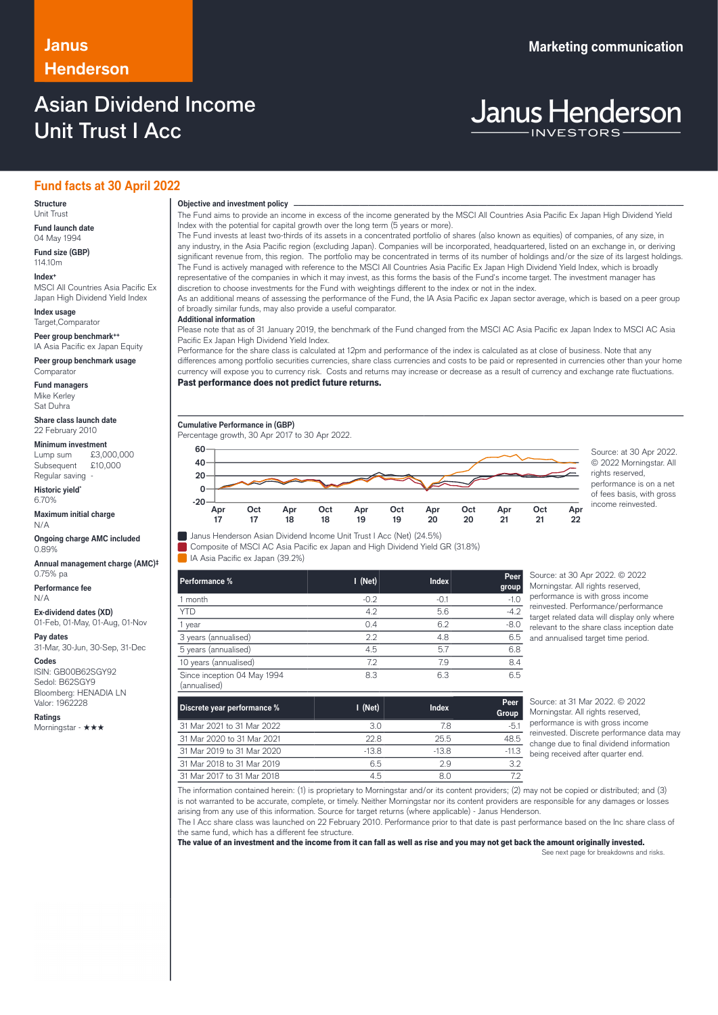### **Janus Marketing communication Henderson**

### Asian Dividend Income Unit Trust I Acc

# **Janus Henderson**

### **Fund facts at 30 April 2022**

### **Structure**

Unit Trust **Fund launch date**

04 May 1994 **Fund size (GBP)**

114.10m **Index+** MSCI All Countries Asia Pacific Ex

Japan High Dividend Yield Index

**Index usage** Target,Comparator

**Peer group benchmark++** IA Asia Pacific ex Japan Equity

**Peer group benchmark usage Comparator** 

**Fund managers** Mike Kerley Sat Duhra

**Share class launch date** 22 February 2010

**Minimum investment**<br>Lump sum £3,000,000

Lump sum Subsequent £10,000 Regular saving -

**Historic yield\*** 6.70%

**Maximum initial charge** N/A

**Ongoing charge AMC included** 0.89%

**Annual management charge (AMC)‡** 0.75% pa

**Performance fee** N/A

**Ex-dividend dates (XD)** 01-Feb, 01-May, 01-Aug, 01-Nov

**Pay dates** 31-Mar, 30-Jun, 30-Sep, 31-Dec

**Codes**

ISIN: GB00B62SGY92 Sedol: B62SGY9 Bloomberg: HENADIA LN Valor: 1962228

**Ratings** Morningstar - ★★★

### **Objective and investment policy** ────────────────────────────────────────────────────────────────────────────────────────────────────────────────────────────────────────────────────────────────────────────────────────────────────────────────────────────────────────────────────────────────────────────────────────────────────────────────────────────────────────────────────────────────────────────────────────────────────────────────────────────────────────────────────────────────────────────────────────────────────────────────────

The Fund aims to provide an income in excess of the income generated by the MSCI All Countries Asia Pacific Ex Japan High Dividend Yield Index with the potential for capital growth over the long term (5 years or more).

The Fund invests at least two-thirds of its assets in a concentrated portfolio of shares (also known as equities) of companies, of any size, in any industry, in the Asia Pacific region (excluding Japan). Companies will be incorporated, headquartered, listed on an exchange in, or deriving significant revenue from, this region. The portfolio may be concentrated in terms of its number of holdings and/or the size of its largest holdings. The Fund is actively managed with reference to the MSCI All Countries Asia Pacific Ex Japan High Dividend Yield Index, which is broadly representative of the companies in which it may invest, as this forms the basis of the Fund's income target. The investment manager has discretion to choose investments for the Fund with weightings different to the index or not in the index.

As an additional means of assessing the performance of the Fund, the IA Asia Pacific ex Japan sector average, which is based on a peer group of broadly similar funds, may also provide a useful comparator.

#### **Additional information**

Please note that as of 31 January 2019, the benchmark of the Fund changed from the MSCI AC Asia Pacific ex Japan Index to MSCI AC Asia Pacific Ex Japan High Dividend Yield Index.

Performance for the share class is calculated at 12pm and performance of the index is calculated as at close of business. Note that any differences among portfolio securities currencies, share class currencies and costs to be paid or represented in currencies other than your home currency will expose you to currency risk. Costs and returns may increase or decrease as a result of currency and exchange rate fluctuations. Past performance does not predict future returns.

**Cumulative Performance in (GBP)** Percentage growth, 30 Apr 2017 to 30 Apr 2022.



© 2022 Morningstar. All rights reserved. performance is on a net of fees basis, with gross income reinvested.

I Janus Henderson Asian Dividend Income Unit Trust I Acc (Net) (24.5%)

Composite of MSCI AC Asia Pacific ex Japan and High Dividend Yield GR (31.8%) IA Asia Pacific ex Japan (39.2%)

| Performance %                               | $I$ (Net) | <b>Index</b> | Peer<br>group |
|---------------------------------------------|-----------|--------------|---------------|
| 1 month                                     | $-0.2$    | $-0.1$       |               |
| <b>YTD</b>                                  | 4.2       | 5.6          | $-4.2$        |
| 1 year                                      | 0.4       | 6.2          | $-8.0$        |
| 3 years (annualised)                        | 22        | 4.8          | 6.5           |
| 5 years (annualised)                        | 4.5       | 5.7          | 6.8           |
| 10 years (annualised)                       | 7.2       | 79           | 8.4           |
| Since inception 04 May 1994<br>(annualised) | 8.3       | 6.3          | 6.5           |

Source: at 30 Apr 2022. © 2022 Morningstar. All rights reserved, performance is with gross income reinvested. Performance/performance target related data will display only where relevant to the share class inception date and annualised target time period.

| Discrete year performance % | $I$ (Net) | <b>Index</b> | Peer<br>Group |
|-----------------------------|-----------|--------------|---------------|
| 31 Mar 2021 to 31 Mar 2022  | 3.0       | 7.8          | $-5.1$        |
| 31 Mar 2020 to 31 Mar 2021  | 22.8      | 25.5         | 48.5          |
| 31 Mar 2019 to 31 Mar 2020  | $-13.8$   | -13.8        | $-11.3$       |
| 31 Mar 2018 to 31 Mar 2019  | 6.5       | 29           | 3.2           |
| 31 Mar 2017 to 31 Mar 2018  | 4.5       |              |               |

Source: at 31 Mar 2022. © 2022 Morningstar. All rights reserved. performance is with gross income reinvested. Discrete performance data may change due to final dividend information being received after quarter end.

The information contained herein: (1) is proprietary to Morningstar and/or its content providers; (2) may not be copied or distributed; and (3) is not warranted to be accurate, complete, or timely. Neither Morningstar nor its content providers are responsible for any damages or losses arising from any use of this information. Source for target returns (where applicable) - Janus Henderson.

The I Acc share class was launched on 22 February 2010. Performance prior to that date is past performance based on the Inc share class of the same fund, which has a different fee structure.

The value of an investment and the income from it can fall as well as rise and you may not get back the amount originally invested. See next page for breakdowns and risks.